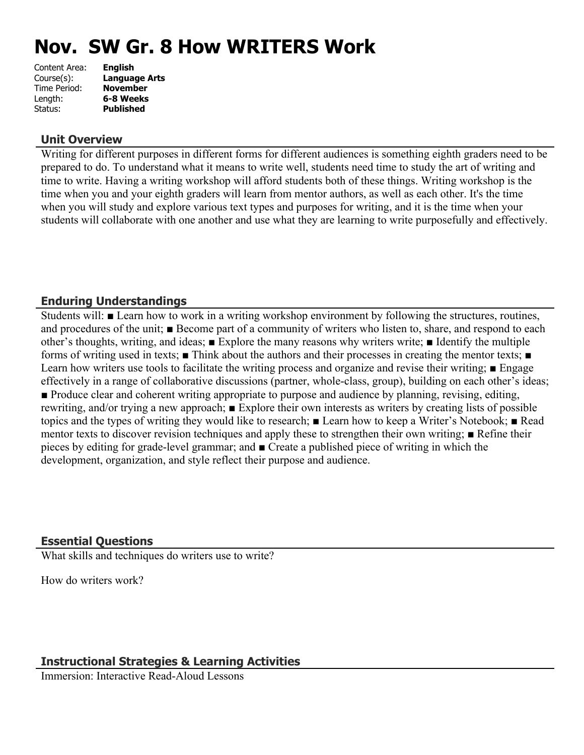# **Nov. SW Gr. 8 How WRITERS Work**

| Content Area: | <b>English</b>   |
|---------------|------------------|
| Course(s):    | Language Arts    |
| Time Period:  | <b>November</b>  |
| Length:       | 6-8 Weeks        |
| Status:       | <b>Published</b> |
|               |                  |

#### **Unit Overview**

Writing for different purposes in different forms for different audiences is something eighth graders need to be prepared to do. To understand what it means to write well, students need time to study the art of writing and time to write. Having a writing workshop will afford students both of these things. Writing workshop is the time when you and your eighth graders will learn from mentor authors, as well as each other. It's the time when you will study and explore various text types and purposes for writing, and it is the time when your students will collaborate with one another and use what they are learning to write purposefully and effectively.

# **Enduring Understandings**

Students will: ■ Learn how to work in a writing workshop environment by following the structures, routines, and procedures of the unit; ■ Become part of a community of writers who listen to, share, and respond to each other's thoughts, writing, and ideas; ■ Explore the many reasons why writers write; ■ Identify the multiple forms of writing used in texts; ■ Think about the authors and their processes in creating the mentor texts; ■ Learn how writers use tools to facilitate the writing process and organize and revise their writing; ■ Engage effectively in a range of collaborative discussions (partner, whole-class, group), building on each other's ideas; ■ Produce clear and coherent writing appropriate to purpose and audience by planning, revising, editing, rewriting, and/or trying a new approach; ■ Explore their own interests as writers by creating lists of possible topics and the types of writing they would like to research; ■ Learn how to keep a Writer's Notebook; ■ Read mentor texts to discover revision techniques and apply these to strengthen their own writing; ■ Refine their pieces by editing for grade-level grammar; and ■ Create a published piece of writing in which the development, organization, and style reflect their purpose and audience.

# **Essential Questions**

What skills and techniques do writers use to write?

How do writers work?

# **Instructional Strategies & Learning Activities**

Immersion: Interactive Read-Aloud Lessons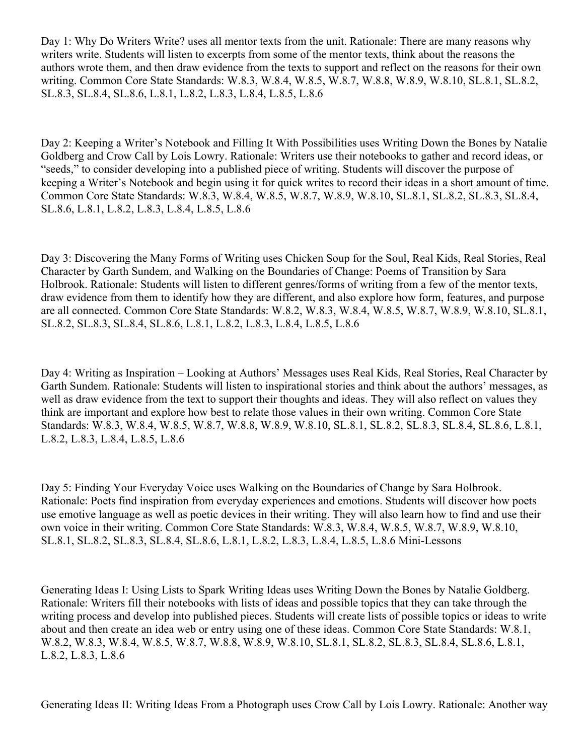Day 1: Why Do Writers Write? uses all mentor texts from the unit. Rationale: There are many reasons why writers write. Students will listen to excerpts from some of the mentor texts, think about the reasons the authors wrote them, and then draw evidence from the texts to support and reflect on the reasons for their own writing. Common Core State Standards: W.8.3, W.8.4, W.8.5, W.8.7, W.8.8, W.8.9, W.8.10, SL.8.1, SL.8.2, SL.8.3, SL.8.4, SL.8.6, L.8.1, L.8.2, L.8.3, L.8.4, L.8.5, L.8.6

Day 2: Keeping a Writer's Notebook and Filling It With Possibilities uses Writing Down the Bones by Natalie Goldberg and Crow Call by Lois Lowry. Rationale: Writers use their notebooks to gather and record ideas, or "seeds," to consider developing into a published piece of writing. Students will discover the purpose of keeping a Writer's Notebook and begin using it for quick writes to record their ideas in a short amount of time. Common Core State Standards: W.8.3, W.8.4, W.8.5, W.8.7, W.8.9, W.8.10, SL.8.1, SL.8.2, SL.8.3, SL.8.4, SL.8.6, L.8.1, L.8.2, L.8.3, L.8.4, L.8.5, L.8.6

Day 3: Discovering the Many Forms of Writing uses Chicken Soup for the Soul, Real Kids, Real Stories, Real Character by Garth Sundem, and Walking on the Boundaries of Change: Poems of Transition by Sara Holbrook. Rationale: Students will listen to different genres/forms of writing from a few of the mentor texts, draw evidence from them to identify how they are different, and also explore how form, features, and purpose are all connected. Common Core State Standards: W.8.2, W.8.3, W.8.4, W.8.5, W.8.7, W.8.9, W.8.10, SL.8.1, SL.8.2, SL.8.3, SL.8.4, SL.8.6, L.8.1, L.8.2, L.8.3, L.8.4, L.8.5, L.8.6

Day 4: Writing as Inspiration – Looking at Authors' Messages uses Real Kids, Real Stories, Real Character by Garth Sundem. Rationale: Students will listen to inspirational stories and think about the authors' messages, as well as draw evidence from the text to support their thoughts and ideas. They will also reflect on values they think are important and explore how best to relate those values in their own writing. Common Core State Standards: W.8.3, W.8.4, W.8.5, W.8.7, W.8.8, W.8.9, W.8.10, SL.8.1, SL.8.2, SL.8.3, SL.8.4, SL.8.6, L.8.1, L.8.2, L.8.3, L.8.4, L.8.5, L.8.6

Day 5: Finding Your Everyday Voice uses Walking on the Boundaries of Change by Sara Holbrook. Rationale: Poets find inspiration from everyday experiences and emotions. Students will discover how poets use emotive language as well as poetic devices in their writing. They will also learn how to find and use their own voice in their writing. Common Core State Standards: W.8.3, W.8.4, W.8.5, W.8.7, W.8.9, W.8.10, SL.8.1, SL.8.2, SL.8.3, SL.8.4, SL.8.6, L.8.1, L.8.2, L.8.3, L.8.4, L.8.5, L.8.6 Mini-Lessons

Generating Ideas I: Using Lists to Spark Writing Ideas uses Writing Down the Bones by Natalie Goldberg. Rationale: Writers fill their notebooks with lists of ideas and possible topics that they can take through the writing process and develop into published pieces. Students will create lists of possible topics or ideas to write about and then create an idea web or entry using one of these ideas. Common Core State Standards: W.8.1, W.8.2, W.8.3, W.8.4, W.8.5, W.8.7, W.8.8, W.8.9, W.8.10, SL.8.1, SL.8.2, SL.8.3, SL.8.4, SL.8.6, L.8.1, L.8.2, L.8.3, L.8.6

Generating Ideas II: Writing Ideas From a Photograph uses Crow Call by Lois Lowry. Rationale: Another way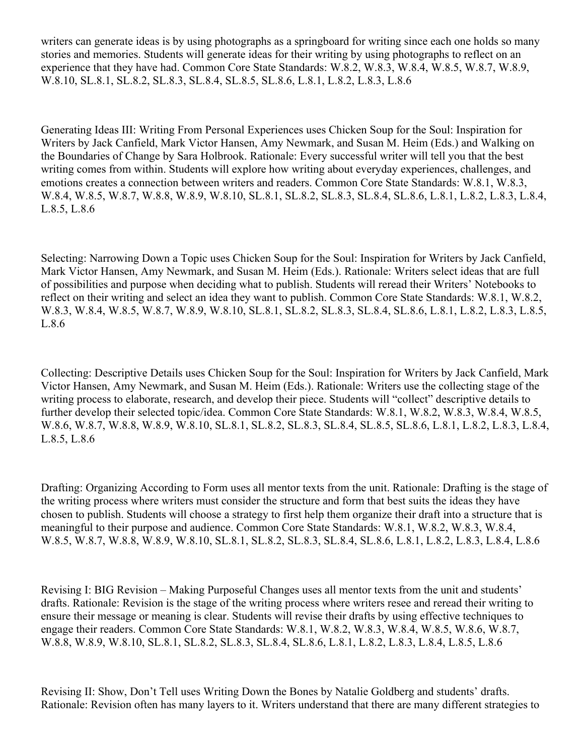writers can generate ideas is by using photographs as a springboard for writing since each one holds so many stories and memories. Students will generate ideas for their writing by using photographs to reflect on an experience that they have had. Common Core State Standards: W.8.2, W.8.3, W.8.4, W.8.5, W.8.7, W.8.9, W.8.10, SL.8.1, SL.8.2, SL.8.3, SL.8.4, SL.8.5, SL.8.6, L.8.1, L.8.2, L.8.3, L.8.6

Generating Ideas III: Writing From Personal Experiences uses Chicken Soup for the Soul: Inspiration for Writers by Jack Canfield, Mark Victor Hansen, Amy Newmark, and Susan M. Heim (Eds.) and Walking on the Boundaries of Change by Sara Holbrook. Rationale: Every successful writer will tell you that the best writing comes from within. Students will explore how writing about everyday experiences, challenges, and emotions creates a connection between writers and readers. Common Core State Standards: W.8.1, W.8.3, W.8.4, W.8.5, W.8.7, W.8.8, W.8.9, W.8.10, SL.8.1, SL.8.2, SL.8.3, SL.8.4, SL.8.6, L.8.1, L.8.2, L.8.3, L.8.4, L.8.5, L.8.6

Selecting: Narrowing Down a Topic uses Chicken Soup for the Soul: Inspiration for Writers by Jack Canfield, Mark Victor Hansen, Amy Newmark, and Susan M. Heim (Eds.). Rationale: Writers select ideas that are full of possibilities and purpose when deciding what to publish. Students will reread their Writers' Notebooks to reflect on their writing and select an idea they want to publish. Common Core State Standards: W.8.1, W.8.2, W.8.3, W.8.4, W.8.5, W.8.7, W.8.9, W.8.10, SL.8.1, SL.8.2, SL.8.3, SL.8.4, SL.8.6, L.8.1, L.8.2, L.8.3, L.8.5, L.8.6

Collecting: Descriptive Details uses Chicken Soup for the Soul: Inspiration for Writers by Jack Canfield, Mark Victor Hansen, Amy Newmark, and Susan M. Heim (Eds.). Rationale: Writers use the collecting stage of the writing process to elaborate, research, and develop their piece. Students will "collect" descriptive details to further develop their selected topic/idea. Common Core State Standards: W.8.1, W.8.2, W.8.3, W.8.4, W.8.5, W.8.6, W.8.7, W.8.8, W.8.9, W.8.10, SL.8.1, SL.8.2, SL.8.3, SL.8.4, SL.8.5, SL.8.6, L.8.1, L.8.2, L.8.3, L.8.4, L.8.5, L.8.6

Drafting: Organizing According to Form uses all mentor texts from the unit. Rationale: Drafting is the stage of the writing process where writers must consider the structure and form that best suits the ideas they have chosen to publish. Students will choose a strategy to first help them organize their draft into a structure that is meaningful to their purpose and audience. Common Core State Standards: W.8.1, W.8.2, W.8.3, W.8.4, W.8.5, W.8.7, W.8.8, W.8.9, W.8.10, SL.8.1, SL.8.2, SL.8.3, SL.8.4, SL.8.6, L.8.1, L.8.2, L.8.3, L.8.4, L.8.6

Revising I: BIG Revision – Making Purposeful Changes uses all mentor texts from the unit and students' drafts. Rationale: Revision is the stage of the writing process where writers resee and reread their writing to ensure their message or meaning is clear. Students will revise their drafts by using effective techniques to engage their readers. Common Core State Standards: W.8.1, W.8.2, W.8.3, W.8.4, W.8.5, W.8.6, W.8.7, W.8.8, W.8.9, W.8.10, SL.8.1, SL.8.2, SL.8.3, SL.8.4, SL.8.6, L.8.1, L.8.2, L.8.3, L.8.4, L.8.5, L.8.6

Revising II: Show, Don't Tell uses Writing Down the Bones by Natalie Goldberg and students' drafts. Rationale: Revision often has many layers to it. Writers understand that there are many different strategies to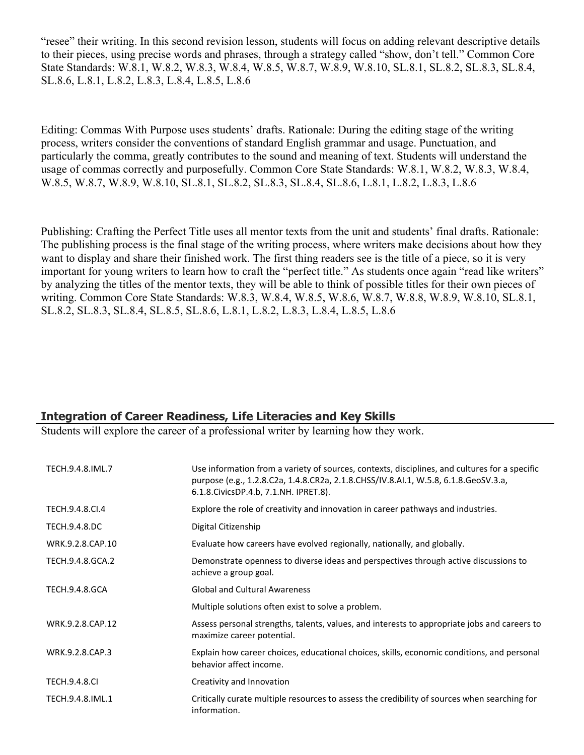"resee" their writing. In this second revision lesson, students will focus on adding relevant descriptive details to their pieces, using precise words and phrases, through a strategy called "show, don't tell." Common Core State Standards: W.8.1, W.8.2, W.8.3, W.8.4, W.8.5, W.8.7, W.8.9, W.8.10, SL.8.1, SL.8.2, SL.8.3, SL.8.4, SL.8.6, L.8.1, L.8.2, L.8.3, L.8.4, L.8.5, L.8.6

Editing: Commas With Purpose uses students' drafts. Rationale: During the editing stage of the writing process, writers consider the conventions of standard English grammar and usage. Punctuation, and particularly the comma, greatly contributes to the sound and meaning of text. Students will understand the usage of commas correctly and purposefully. Common Core State Standards: W.8.1, W.8.2, W.8.3, W.8.4, W.8.5, W.8.7, W.8.9, W.8.10, SL.8.1, SL.8.2, SL.8.3, SL.8.4, SL.8.6, L.8.1, L.8.2, L.8.3, L.8.6

Publishing: Crafting the Perfect Title uses all mentor texts from the unit and students' final drafts. Rationale: The publishing process is the final stage of the writing process, where writers make decisions about how they want to display and share their finished work. The first thing readers see is the title of a piece, so it is very important for young writers to learn how to craft the "perfect title." As students once again "read like writers" by analyzing the titles of the mentor texts, they will be able to think of possible titles for their own pieces of writing. Common Core State Standards: W.8.3, W.8.4, W.8.5, W.8.6, W.8.7, W.8.8, W.8.9, W.8.10, SL.8.1, SL.8.2, SL.8.3, SL.8.4, SL.8.5, SL.8.6, L.8.1, L.8.2, L.8.3, L.8.4, L.8.5, L.8.6

#### **Integration of Career Readiness, Life Literacies and Key Skills**

Students will explore the career of a professional writer by learning how they work.

| TECH.9.4.8.IML.7      | Use information from a variety of sources, contexts, disciplines, and cultures for a specific<br>purpose (e.g., 1.2.8.C2a, 1.4.8.CR2a, 2.1.8.CHSS/IV.8.AI.1, W.5.8, 6.1.8.GeoSV.3.a,<br>6.1.8. Civics DP. 4.b, 7.1. NH. IPRET. 8). |
|-----------------------|------------------------------------------------------------------------------------------------------------------------------------------------------------------------------------------------------------------------------------|
| TECH.9.4.8.CI.4       | Explore the role of creativity and innovation in career pathways and industries.                                                                                                                                                   |
| <b>TECH.9.4.8.DC</b>  | Digital Citizenship                                                                                                                                                                                                                |
| WRK.9.2.8.CAP.10      | Evaluate how careers have evolved regionally, nationally, and globally.                                                                                                                                                            |
| TECH.9.4.8.GCA.2      | Demonstrate openness to diverse ideas and perspectives through active discussions to<br>achieve a group goal.                                                                                                                      |
| <b>TECH.9.4.8.GCA</b> | <b>Global and Cultural Awareness</b>                                                                                                                                                                                               |
|                       | Multiple solutions often exist to solve a problem.                                                                                                                                                                                 |
| WRK.9.2.8.CAP.12      | Assess personal strengths, talents, values, and interests to appropriate jobs and careers to<br>maximize career potential.                                                                                                         |
| WRK.9.2.8.CAP.3       | Explain how career choices, educational choices, skills, economic conditions, and personal<br>behavior affect income.                                                                                                              |
| <b>TECH.9.4.8.CI</b>  | Creativity and Innovation                                                                                                                                                                                                          |
| TECH.9.4.8.IML.1      | Critically curate multiple resources to assess the credibility of sources when searching for<br>information.                                                                                                                       |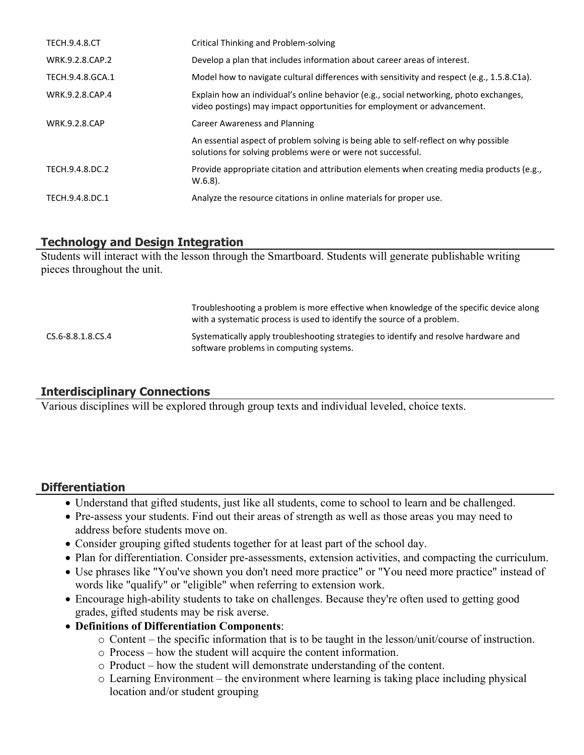| <b>TECH.9.4.8.CT</b> | <b>Critical Thinking and Problem-solving</b>                                                                                                                      |
|----------------------|-------------------------------------------------------------------------------------------------------------------------------------------------------------------|
| WRK.9.2.8.CAP.2      | Develop a plan that includes information about career areas of interest.                                                                                          |
| TECH.9.4.8.GCA.1     | Model how to navigate cultural differences with sensitivity and respect (e.g., 1.5.8.C1a).                                                                        |
| WRK.9.2.8.CAP.4      | Explain how an individual's online behavior (e.g., social networking, photo exchanges,<br>video postings) may impact opportunities for employment or advancement. |
| <b>WRK.9.2.8.CAP</b> | <b>Career Awareness and Planning</b>                                                                                                                              |
|                      | An essential aspect of problem solving is being able to self-reflect on why possible<br>solutions for solving problems were or were not successful.               |
| TECH.9.4.8.DC.2      | Provide appropriate citation and attribution elements when creating media products (e.g.,<br>$W.6.8$ ).                                                           |
| TECH.9.4.8.DC.1      | Analyze the resource citations in online materials for proper use.                                                                                                |

# **Technology and Design Integration**

Students will interact with the lesson through the Smartboard. Students will generate publishable writing pieces throughout the unit.

|                   | Troubleshooting a problem is more effective when knowledge of the specific device along<br>with a systematic process is used to identify the source of a problem. |
|-------------------|-------------------------------------------------------------------------------------------------------------------------------------------------------------------|
| CS.6-8.8.1.8.CS.4 | Systematically apply troubleshooting strategies to identify and resolve hardware and<br>software problems in computing systems.                                   |

# **Interdisciplinary Connections**

Various disciplines will be explored through group texts and individual leveled, choice texts.

# **Differentiation**

- Understand that gifted students, just like all students, come to school to learn and be challenged.
- Pre-assess your students. Find out their areas of strength as well as those areas you may need to address before students move on.
- Consider grouping gifted students together for at least part of the school day.
- Plan for differentiation. Consider pre-assessments, extension activities, and compacting the curriculum.
- Use phrases like "You've shown you don't need more practice" or "You need more practice" instead of words like "qualify" or "eligible" when referring to extension work.
- Encourage high-ability students to take on challenges. Because they're often used to getting good grades, gifted students may be risk averse.
- **Definitions of Differentiation Components**:
	- o Content the specific information that is to be taught in the lesson/unit/course of instruction.
	- o Process how the student will acquire the content information.
	- o Product how the student will demonstrate understanding of the content.
	- o Learning Environment the environment where learning is taking place including physical location and/or student grouping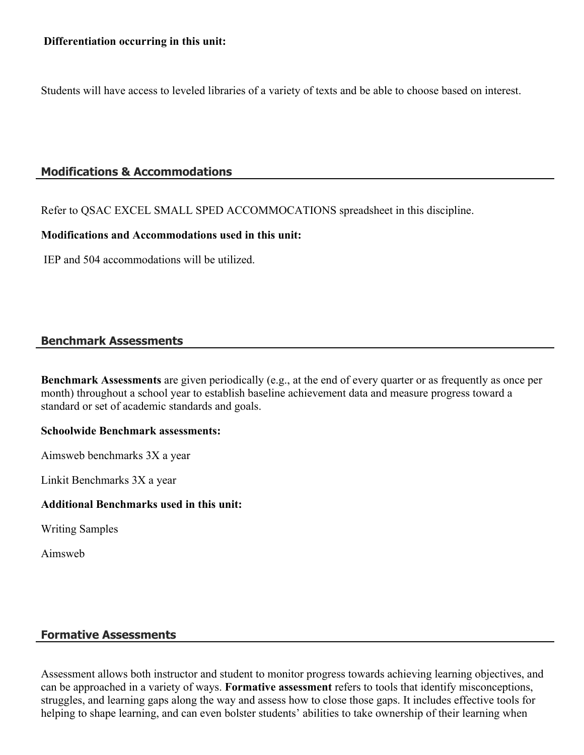Students will have access to leveled libraries of a variety of texts and be able to choose based on interest.

# **Modifications & Accommodations**

Refer to QSAC EXCEL SMALL SPED ACCOMMOCATIONS spreadsheet in this discipline.

#### **Modifications and Accommodations used in this unit:**

IEP and 504 accommodations will be utilized.

#### **Benchmark Assessments**

**Benchmark Assessments** are given periodically (e.g., at the end of every quarter or as frequently as once per month) throughout a school year to establish baseline achievement data and measure progress toward a standard or set of academic standards and goals.

#### **Schoolwide Benchmark assessments:**

Aimsweb benchmarks 3X a year

Linkit Benchmarks 3X a year

#### **Additional Benchmarks used in this unit:**

Writing Samples

Aimsweb

# **Formative Assessments**

Assessment allows both instructor and student to monitor progress towards achieving learning objectives, and can be approached in a variety of ways. **Formative assessment** refers to tools that identify misconceptions, struggles, and learning gaps along the way and assess how to close those gaps. It includes effective tools for helping to shape learning, and can even bolster students' abilities to take ownership of their learning when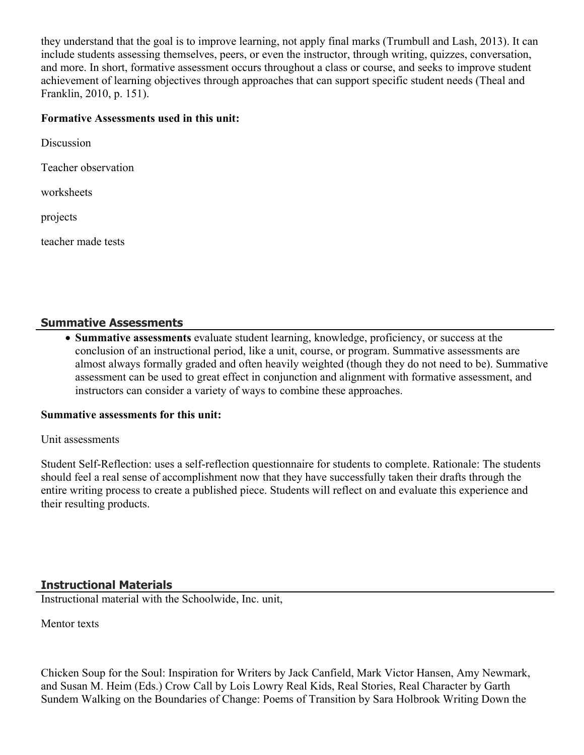they understand that the goal is to improve learning, not apply final marks (Trumbull and Lash, 2013). It can include students assessing themselves, peers, or even the instructor, through writing, quizzes, conversation, and more. In short, formative assessment occurs throughout a class or course, and seeks to improve student achievement of learning objectives through approaches that can support specific student needs (Theal and Franklin, 2010, p. 151).

#### **Formative Assessments used in this unit:**

| Discussion          |
|---------------------|
| Teacher observation |
| worksheets          |
| projects            |

teacher made tests

#### **Summative Assessments**

 **Summative assessments** evaluate student learning, knowledge, proficiency, or success at the conclusion of an instructional period, like a unit, course, or program. Summative assessments are almost always formally graded and often heavily weighted (though they do not need to be). Summative assessment can be used to great effect in conjunction and alignment with formative assessment, and instructors can consider a variety of ways to combine these approaches.

#### **Summative assessments for this unit:**

Unit assessments

Student Self-Reflection: uses a self-reflection questionnaire for students to complete. Rationale: The students should feel a real sense of accomplishment now that they have successfully taken their drafts through the entire writing process to create a published piece. Students will reflect on and evaluate this experience and their resulting products.

#### **Instructional Materials**

Instructional material with the Schoolwide, Inc. unit,

Mentor texts

Chicken Soup for the Soul: Inspiration for Writers by Jack Canfield, Mark Victor Hansen, Amy Newmark, and Susan M. Heim (Eds.) Crow Call by Lois Lowry Real Kids, Real Stories, Real Character by Garth Sundem Walking on the Boundaries of Change: Poems of Transition by Sara Holbrook Writing Down the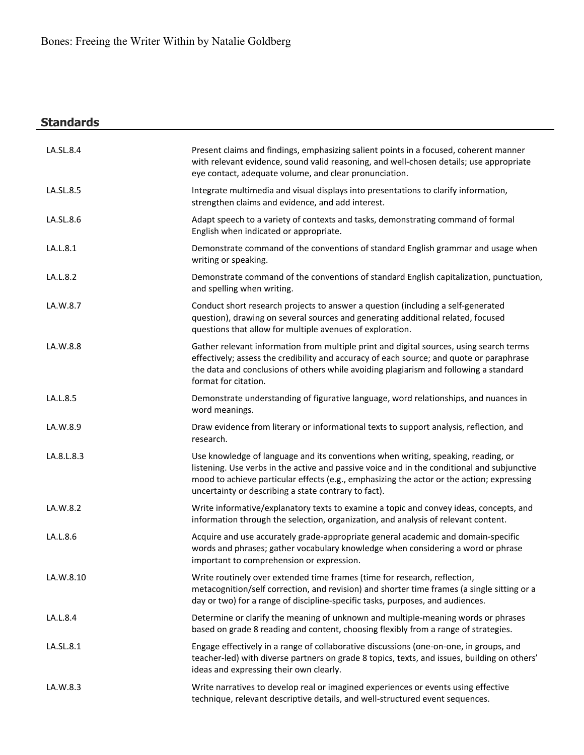# **Standards**

| LA.SL.8.4  | Present claims and findings, emphasizing salient points in a focused, coherent manner<br>with relevant evidence, sound valid reasoning, and well-chosen details; use appropriate<br>eye contact, adequate volume, and clear pronunciation.                                                                                            |
|------------|---------------------------------------------------------------------------------------------------------------------------------------------------------------------------------------------------------------------------------------------------------------------------------------------------------------------------------------|
| LA.SL.8.5  | Integrate multimedia and visual displays into presentations to clarify information,<br>strengthen claims and evidence, and add interest.                                                                                                                                                                                              |
| LA.SL.8.6  | Adapt speech to a variety of contexts and tasks, demonstrating command of formal<br>English when indicated or appropriate.                                                                                                                                                                                                            |
| LA.L.8.1   | Demonstrate command of the conventions of standard English grammar and usage when<br>writing or speaking.                                                                                                                                                                                                                             |
| LA.L.8.2   | Demonstrate command of the conventions of standard English capitalization, punctuation,<br>and spelling when writing.                                                                                                                                                                                                                 |
| LA.W.8.7   | Conduct short research projects to answer a question (including a self-generated<br>question), drawing on several sources and generating additional related, focused<br>questions that allow for multiple avenues of exploration.                                                                                                     |
| LA.W.8.8   | Gather relevant information from multiple print and digital sources, using search terms<br>effectively; assess the credibility and accuracy of each source; and quote or paraphrase<br>the data and conclusions of others while avoiding plagiarism and following a standard<br>format for citation.                                  |
| LA.L.8.5   | Demonstrate understanding of figurative language, word relationships, and nuances in<br>word meanings.                                                                                                                                                                                                                                |
| LA.W.8.9   | Draw evidence from literary or informational texts to support analysis, reflection, and<br>research.                                                                                                                                                                                                                                  |
| LA.8.L.8.3 | Use knowledge of language and its conventions when writing, speaking, reading, or<br>listening. Use verbs in the active and passive voice and in the conditional and subjunctive<br>mood to achieve particular effects (e.g., emphasizing the actor or the action; expressing<br>uncertainty or describing a state contrary to fact). |
| LA.W.8.2   | Write informative/explanatory texts to examine a topic and convey ideas, concepts, and<br>information through the selection, organization, and analysis of relevant content.                                                                                                                                                          |
| LA.L.8.6   | Acquire and use accurately grade-appropriate general academic and domain-specific<br>words and phrases; gather vocabulary knowledge when considering a word or phrase<br>important to comprehension or expression.                                                                                                                    |
| LA.W.8.10  | Write routinely over extended time frames (time for research, reflection,<br>metacognition/self correction, and revision) and shorter time frames (a single sitting or a<br>day or two) for a range of discipline-specific tasks, purposes, and audiences.                                                                            |
| LA.L.8.4   | Determine or clarify the meaning of unknown and multiple-meaning words or phrases<br>based on grade 8 reading and content, choosing flexibly from a range of strategies.                                                                                                                                                              |
| LA.SL.8.1  | Engage effectively in a range of collaborative discussions (one-on-one, in groups, and<br>teacher-led) with diverse partners on grade 8 topics, texts, and issues, building on others'<br>ideas and expressing their own clearly.                                                                                                     |
| LA.W.8.3   | Write narratives to develop real or imagined experiences or events using effective<br>technique, relevant descriptive details, and well-structured event sequences.                                                                                                                                                                   |